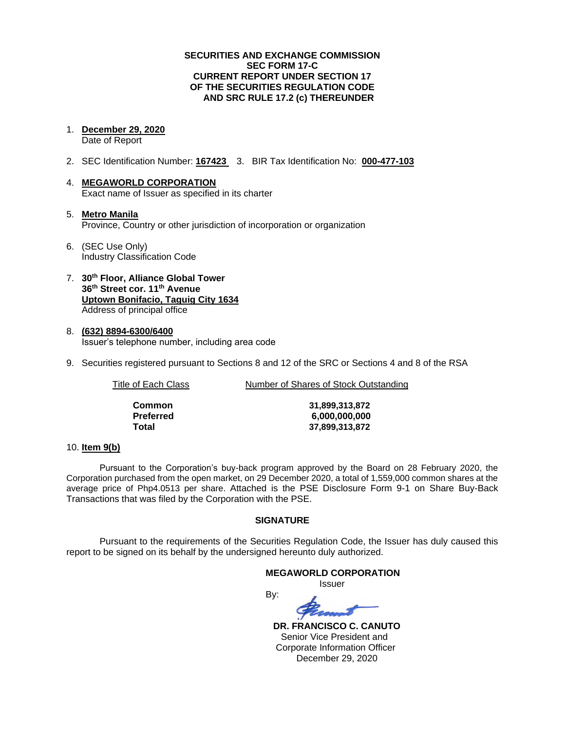### **SECURITIES AND EXCHANGE COMMISSION SEC FORM 17-C CURRENT REPORT UNDER SECTION 17 OF THE SECURITIES REGULATION CODE AND SRC RULE 17.2 (c) THEREUNDER**

1. **December 29, 2020**

Date of Report

- 2. SEC Identification Number: **167423** 3. BIR Tax Identification No: **000-477-103**
- 4. **MEGAWORLD CORPORATION** Exact name of Issuer as specified in its charter
- 5. **Metro Manila** Province, Country or other jurisdiction of incorporation or organization
- 6. (SEC Use Only) Industry Classification Code
- 7. **30th Floor, Alliance Global Tower 36th Street cor. 11th Avenue Uptown Bonifacio, Taguig City 1634** Address of principal office
- 8. **(632) 8894-6300/6400** Issuer's telephone number, including area code
- 9. Securities registered pursuant to Sections 8 and 12 of the SRC or Sections 4 and 8 of the RSA

Title of Each Class Number of Shares of Stock Outstanding

| Common    |
|-----------|
| Preferred |
| Total     |

**Common 31,899,313,872 Preferred 6,000,000,000 Total 37,899,313,872**

### 10. **Item 9(b)**

Pursuant to the Corporation's buy-back program approved by the Board on 28 February 2020, the Corporation purchased from the open market, on 29 December 2020, a total of 1,559,000 common shares at the average price of Php4.0513 per share. Attached is the PSE Disclosure Form 9-1 on Share Buy-Back Transactions that was filed by the Corporation with the PSE.

### **SIGNATURE**

Pursuant to the requirements of the Securities Regulation Code, the Issuer has duly caused this report to be signed on its behalf by the undersigned hereunto duly authorized.

### **MEGAWORLD CORPORATION** Issuer

By:

 **DR. FRANCISCO C. CANUTO** Senior Vice President and Corporate Information Officer December 29, 2020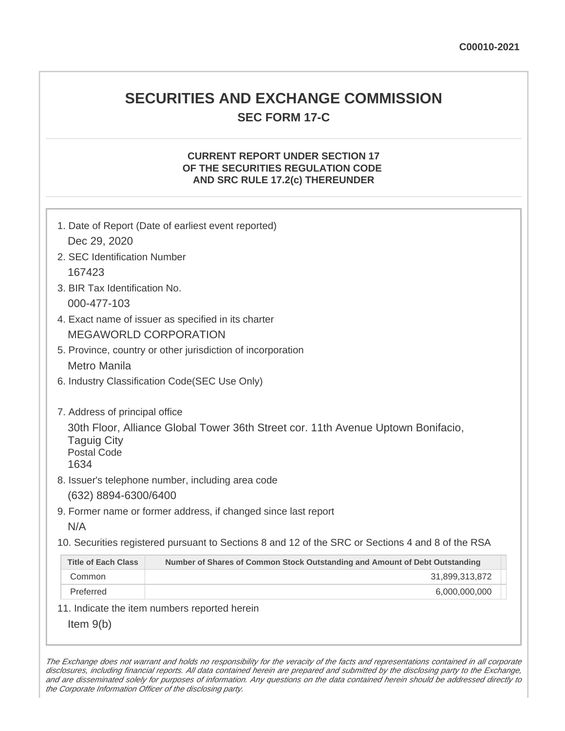# **SECURITIES AND EXCHANGE COMMISSION SEC FORM 17-C**

# **CURRENT REPORT UNDER SECTION 17 OF THE SECURITIES REGULATION CODE AND SRC RULE 17.2(c) THEREUNDER**

| 1. Date of Report (Date of earliest event reported)<br>Dec 29, 2020                                                                                                    |                                                                             |  |  |  |  |  |
|------------------------------------------------------------------------------------------------------------------------------------------------------------------------|-----------------------------------------------------------------------------|--|--|--|--|--|
| 2. SEC Identification Number                                                                                                                                           |                                                                             |  |  |  |  |  |
| 167423                                                                                                                                                                 |                                                                             |  |  |  |  |  |
| 3. BIR Tax Identification No.                                                                                                                                          |                                                                             |  |  |  |  |  |
| 000-477-103                                                                                                                                                            |                                                                             |  |  |  |  |  |
| 4. Exact name of issuer as specified in its charter                                                                                                                    |                                                                             |  |  |  |  |  |
| <b>MEGAWORLD CORPORATION</b>                                                                                                                                           |                                                                             |  |  |  |  |  |
| 5. Province, country or other jurisdiction of incorporation                                                                                                            |                                                                             |  |  |  |  |  |
| <b>Metro Manila</b>                                                                                                                                                    |                                                                             |  |  |  |  |  |
| 6. Industry Classification Code(SEC Use Only)                                                                                                                          |                                                                             |  |  |  |  |  |
| 7. Address of principal office<br>30th Floor, Alliance Global Tower 36th Street cor. 11th Avenue Uptown Bonifacio,<br><b>Taguig City</b><br><b>Postal Code</b><br>1634 |                                                                             |  |  |  |  |  |
| 8. Issuer's telephone number, including area code                                                                                                                      |                                                                             |  |  |  |  |  |
| (632) 8894-6300/6400                                                                                                                                                   |                                                                             |  |  |  |  |  |
| 9. Former name or former address, if changed since last report                                                                                                         |                                                                             |  |  |  |  |  |
| N/A                                                                                                                                                                    |                                                                             |  |  |  |  |  |
| 10. Securities registered pursuant to Sections 8 and 12 of the SRC or Sections 4 and 8 of the RSA                                                                      |                                                                             |  |  |  |  |  |
| <b>Title of Each Class</b>                                                                                                                                             | Number of Shares of Common Stock Outstanding and Amount of Debt Outstanding |  |  |  |  |  |
| Common                                                                                                                                                                 | 31,899,313,872                                                              |  |  |  |  |  |
| Preferred                                                                                                                                                              | 6,000,000,000                                                               |  |  |  |  |  |
|                                                                                                                                                                        | 11. Indicate the item numbers reported herein                               |  |  |  |  |  |
| Item $9(b)$                                                                                                                                                            |                                                                             |  |  |  |  |  |

The Exchange does not warrant and holds no responsibility for the veracity of the facts and representations contained in all corporate disclosures, including financial reports. All data contained herein are prepared and submitted by the disclosing party to the Exchange, and are disseminated solely for purposes of information. Any questions on the data contained herein should be addressed directly to the Corporate Information Officer of the disclosing party.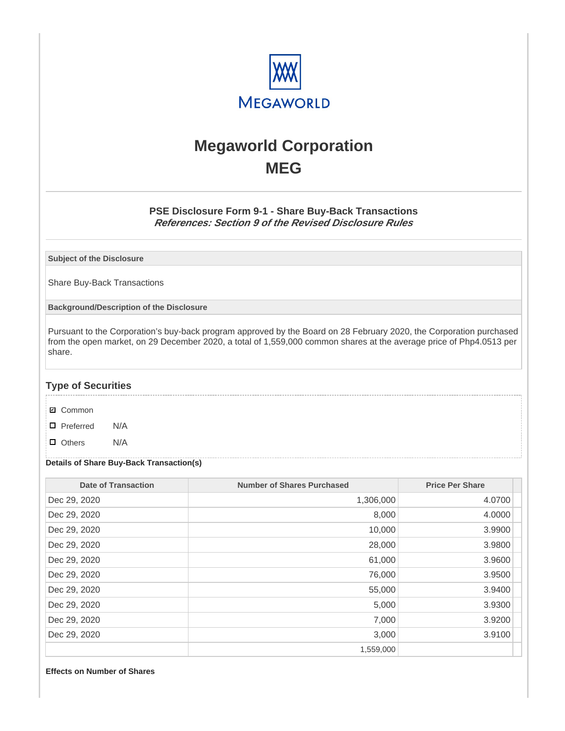

# **Megaworld Corporation MEG**

## **PSE Disclosure Form 9-1 - Share Buy-Back Transactions References: Section 9 of the Revised Disclosure Rules**

**Subject of the Disclosure**

Share Buy-Back Transactions

**Background/Description of the Disclosure**

Pursuant to the Corporation's buy-back program approved by the Board on 28 February 2020, the Corporation purchased from the open market, on 29 December 2020, a total of 1,559,000 common shares at the average price of Php4.0513 per share.

### **Type of Securities**

- **☑** Common
- □ Preferred N/A
- D Others N/A

### **Details of Share Buy-Back Transaction(s)**

| Date of Transaction | <b>Number of Shares Purchased</b> | <b>Price Per Share</b> |
|---------------------|-----------------------------------|------------------------|
| Dec 29, 2020        | 1,306,000                         | 4.0700                 |
| Dec 29, 2020        | 8,000                             | 4.0000                 |
| Dec 29, 2020        | 10,000                            | 3.9900                 |
| Dec 29, 2020        | 28,000                            | 3.9800                 |
| Dec 29, 2020        | 61,000                            | 3.9600                 |
| Dec 29, 2020        | 76,000                            | 3.9500                 |
| Dec 29, 2020        | 55,000                            | 3.9400                 |
| Dec 29, 2020        | 5,000                             | 3.9300                 |
| Dec 29, 2020        | 7,000                             | 3.9200                 |
| Dec 29, 2020        | 3,000                             | 3.9100                 |
|                     | 1,559,000                         |                        |

#### **Effects on Number of Shares**